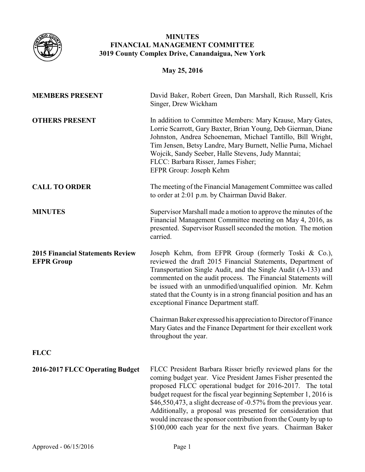

## **MINUTES FINANCIAL MANAGEMENT COMMITTEE 3019 County Complex Drive, Canandaigua, New York**

# **May 25, 2016**

| <b>MEMBERS PRESENT</b>                                       | David Baker, Robert Green, Dan Marshall, Rich Russell, Kris<br>Singer, Drew Wickham                                                                                                                                                                                                                                                                                                                                                                                                                                                      |
|--------------------------------------------------------------|------------------------------------------------------------------------------------------------------------------------------------------------------------------------------------------------------------------------------------------------------------------------------------------------------------------------------------------------------------------------------------------------------------------------------------------------------------------------------------------------------------------------------------------|
| <b>OTHERS PRESENT</b>                                        | In addition to Committee Members: Mary Krause, Mary Gates,<br>Lorrie Scarrott, Gary Baxter, Brian Young, Deb Gierman, Diane<br>Johnston, Andrea Schoeneman, Michael Tantillo, Bill Wright,<br>Tim Jensen, Betsy Landre, Mary Burnett, Nellie Puma, Michael<br>Wojcik, Sandy Seeber, Halle Stevens, Judy Manntai;<br>FLCC: Barbara Risser, James Fisher;<br>EFPR Group: Joseph Kehm                                                                                                                                                       |
| <b>CALL TO ORDER</b>                                         | The meeting of the Financial Management Committee was called<br>to order at 2:01 p.m. by Chairman David Baker.                                                                                                                                                                                                                                                                                                                                                                                                                           |
| <b>MINUTES</b>                                               | Supervisor Marshall made a motion to approve the minutes of the<br>Financial Management Committee meeting on May 4, 2016, as<br>presented. Supervisor Russell seconded the motion. The motion<br>carried.                                                                                                                                                                                                                                                                                                                                |
| <b>2015 Financial Statements Review</b><br><b>EFPR Group</b> | Joseph Kehm, from EFPR Group (formerly Toski & Co.),<br>reviewed the draft 2015 Financial Statements, Department of<br>Transportation Single Audit, and the Single Audit (A-133) and<br>commented on the audit process. The Financial Statements will<br>be issued with an unmodified/unqualified opinion. Mr. Kehm<br>stated that the County is in a strong financial position and has an<br>exceptional Finance Department staff.                                                                                                      |
|                                                              | Chairman Baker expressed his appreciation to Director of Finance<br>Mary Gates and the Finance Department for their excellent work<br>throughout the year.                                                                                                                                                                                                                                                                                                                                                                               |
| <b>FLCC</b>                                                  |                                                                                                                                                                                                                                                                                                                                                                                                                                                                                                                                          |
| 2016-2017 FLCC Operating Budget                              | FLCC President Barbara Risser briefly reviewed plans for the<br>coming budget year. Vice President James Fisher presented the<br>proposed FLCC operational budget for 2016-2017. The total<br>budget request for the fiscal year beginning September 1, 2016 is<br>\$46,550,473, a slight decrease of -0.57% from the previous year.<br>Additionally, a proposal was presented for consideration that<br>would increase the sponsor contribution from the County by up to<br>\$100,000 each year for the next five years. Chairman Baker |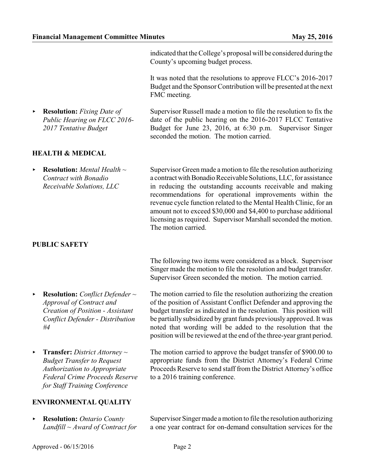< **Resolution:** *Fixing Date of*

*2017 Tentative Budget*

**HEALTH & MEDICAL**

*Public Hearing on FLCC 2016-*

indicated that the College's proposal will be considered during the County's upcoming budget process.

It was noted that the resolutions to approve FLCC's 2016-2017 Budget and the Sponsor Contribution will be presented at the next FMC meeting.

Supervisor Russell made a motion to file the resolution to fix the date of the public hearing on the 2016-2017 FLCC Tentative Budget for June 23, 2016, at 6:30 p.m. Supervisor Singer seconded the motion. The motion carried.

< **Resolution:** *Mental Health ~ Contract with Bonadio Receivable Solutions, LLC* Supervisor Green made a motion to file the resolution authorizing a contract with Bonadio Receivable Solutions, LLC, for assistance in reducing the outstanding accounts receivable and making recommendations for operational improvements within the revenue cycle function related to the Mental Health Clinic, for an amount not to exceed \$30,000 and \$4,400 to purchase additional licensing as required. Supervisor Marshall seconded the motion. The motion carried.

# **PUBLIC SAFETY**

The following two items were considered as a block. Supervisor Singer made the motion to file the resolution and budget transfer. Supervisor Green seconded the motion. The motion carried.

The motion carried to file the resolution authorizing the creation of the position of Assistant Conflict Defender and approving the budget transfer as indicated in the resolution. This position will be partially subsidized by grant funds previously approved. It was noted that wording will be added to the resolution that the

- < **Resolution:** *Conflict Defender ~ Approval of Contract and Creation of Position - Assistant Conflict Defender - Distribution #4*
- < **Transfer:** *District Attorney ~ Budget Transfer to Request Authorization to Appropriate Federal Crime Proceeds Reserve for Staff Training Conference*

# position will be reviewed at the end of the three-year grant period. The motion carried to approve the budget transfer of \$900.00 to appropriate funds from the District Attorney's Federal Crime Proceeds Reserve to send staff from the District Attorney's office to a 2016 training conference.

## **ENVIRONMENTAL QUALITY**

< **Resolution:** *Ontario County Landfill ~ Award of Contract for* Supervisor Singer made a motion to file the resolution authorizing a one year contract for on-demand consultation services for the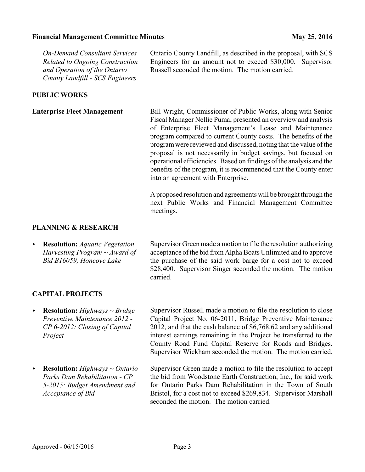*On-Demand Consultant Services Related to Ongoing Construction and Operation of the Ontario County Landfill - SCS Engineers*

Ontario County Landfill, as described in the proposal, with SCS Engineers for an amount not to exceed \$30,000. Supervisor Russell seconded the motion. The motion carried.

### **PUBLIC WORKS**

**Enterprise Fleet Management** Bill Wright, Commissioner of Public Works, along with Senior Fiscal Manager Nellie Puma, presented an overview and analysis of Enterprise Fleet Management's Lease and Maintenance program compared to current County costs. The benefits of the programwere reviewed and discussed, noting that the value ofthe proposal is not necessarily in budget savings, but focused on operational efficiencies. Based on findings ofthe analysis and the benefits of the program, it is recommended that the County enter into an agreement with Enterprise.

> Aproposed resolution and agreements will be brought through the next Public Works and Financial Management Committee meetings.

### **PLANNING & RESEARCH**

< **Resolution:** *Aquatic Vegetation Harvesting Program ~ Award of Bid B16059, Honeoye Lake*

Supervisor Green made a motion to file the resolution authorizing acceptance of the bid from Alpha Boats Unlimited and to approve the purchase of the said work barge for a cost not to exceed \$28,400. Supervisor Singer seconded the motion. The motion carried.

### **CAPITAL PROJECTS**

< **Resolution:** *Highways ~ Bridge Preventive Maintenance 2012 - CP 6-2012: Closing of Capital Project*

< **Resolution:** *Highways ~ Ontario Parks Dam Rehabilitation - CP 5-2015: Budget Amendment and Acceptance of Bid*

Supervisor Russell made a motion to file the resolution to close Capital Project No. 06-2011, Bridge Preventive Maintenance 2012, and that the cash balance of \$6,768.62 and any additional interest earnings remaining in the Project be transferred to the County Road Fund Capital Reserve for Roads and Bridges. Supervisor Wickham seconded the motion. The motion carried.

Supervisor Green made a motion to file the resolution to accept the bid from Woodstone Earth Construction, Inc., for said work for Ontario Parks Dam Rehabilitation in the Town of South Bristol, for a cost not to exceed \$269,834. Supervisor Marshall seconded the motion. The motion carried.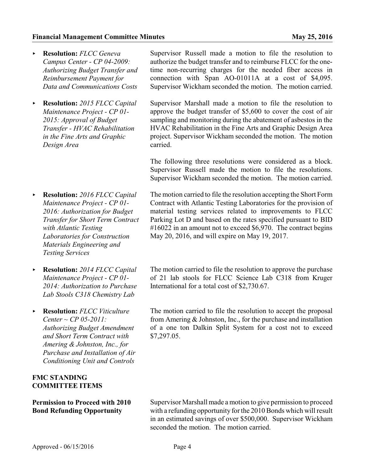- < **Resolution:** *FLCC Geneva Campus Center - CP 04-2009: Authorizing Budget Transfer and Reimbursement Payment for Data and Communications Costs*
- < **Resolution:** *2015 FLCC Capital Maintenance Project - CP 01- 2015: Approval of Budget Transfer - HVAC Rehabilitation in the Fine Arts and Graphic Design Area*
- < **Resolution:** *2016 FLCC Capital Maintenance Project - CP 01- 2016: Authorization for Budget Transfer for Short Term Contract with Atlantic Testing Laboratories for Construction Materials Engineering and Testing Services*
- < **Resolution:** *2014 FLCC Capital Maintenance Project - CP 01- 2014: Authorization to Purchase Lab Stools C318 Chemistry Lab*
- < **Resolution:** *FLCC Viticulture Center ~ CP 05-2011: Authorizing Budget Amendment and Short Term Contract with Amering & Johnston, Inc., for Purchase and Installation of Air Conditioning Unit and Controls*

## **FMC STANDING COMMITTEE ITEMS**

### **Permission to Proceed with 2010 Bond Refunding Opportunity**

Supervisor Russell made a motion to file the resolution to authorize the budget transfer and to reimburse FLCC for the onetime non-recurring charges for the needed fiber access in connection with Span AO-01011A at a cost of \$4,095. Supervisor Wickham seconded the motion. The motion carried.

Supervisor Marshall made a motion to file the resolution to approve the budget transfer of \$5,600 to cover the cost of air sampling and monitoring during the abatement of asbestos in the HVAC Rehabilitation in the Fine Arts and Graphic Design Area project. Supervisor Wickham seconded the motion. The motion carried.

The following three resolutions were considered as a block. Supervisor Russell made the motion to file the resolutions. Supervisor Wickham seconded the motion. The motion carried.

The motion carried to file the resolution accepting the Short Form Contract with Atlantic Testing Laboratories for the provision of material testing services related to improvements to FLCC Parking Lot D and based on the rates specified pursuant to BID #16022 in an amount not to exceed \$6,970. The contract begins May 20, 2016, and will expire on May 19, 2017.

The motion carried to file the resolution to approve the purchase of 21 lab stools for FLCC Science Lab C318 from Kruger International for a total cost of \$2,730.67.

The motion carried to file the resolution to accept the proposal from Amering & Johnston, Inc., for the purchase and installation of a one ton Dalkin Split System for a cost not to exceed \$7,297.05.

Supervisor Marshall made a motion to give permission to proceed with a refunding opportunity for the 2010 Bonds which will result in an estimated savings of over \$500,000. Supervisor Wickham seconded the motion. The motion carried.